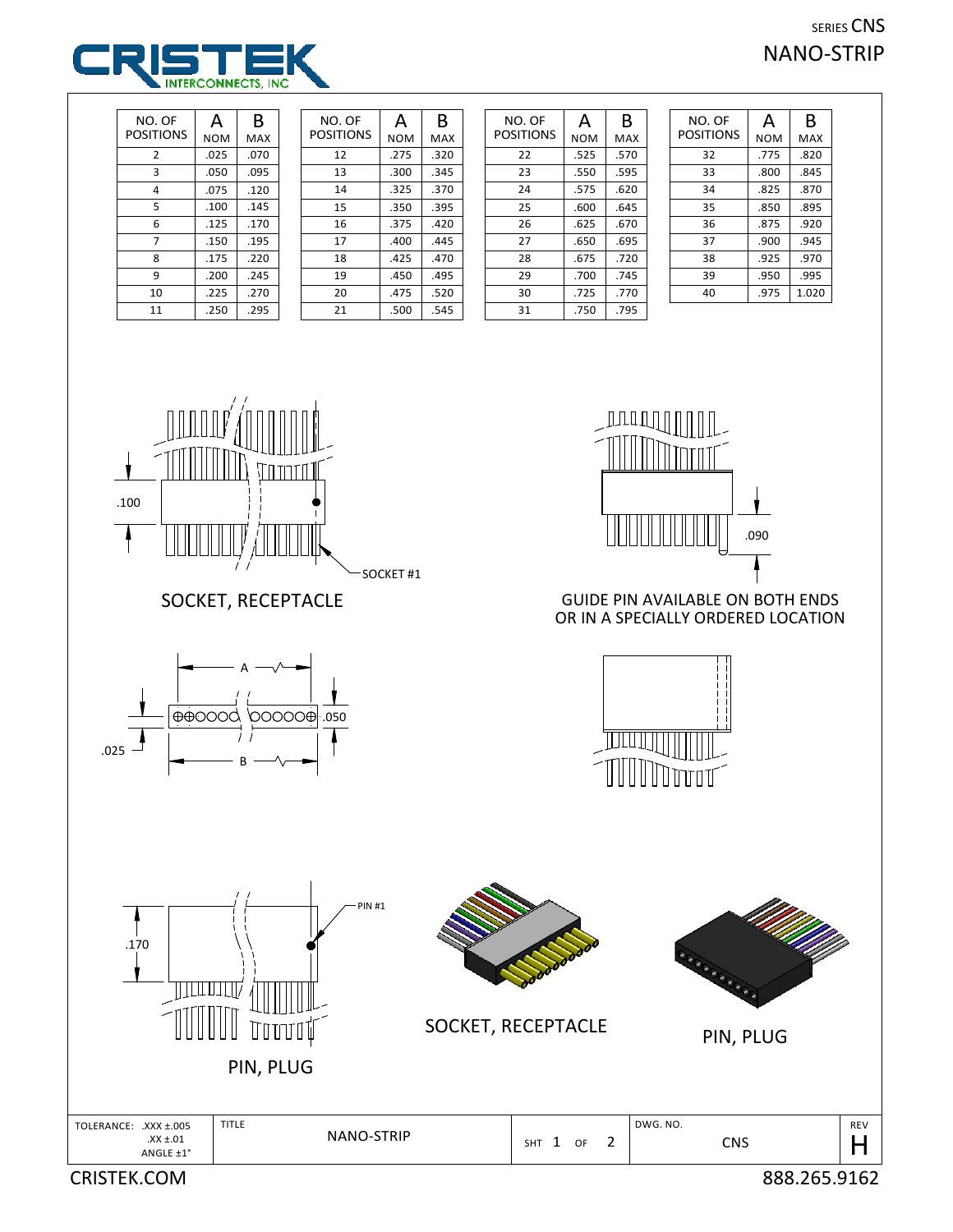## SERIES CNS NANO-STRIP



| NO. OF    | А          | B    |
|-----------|------------|------|
| POSITIONS | <b>NOM</b> | MAX  |
| 2         | .025       | .070 |
| 3         | .050       | .095 |
| 4         | .075       | .120 |
| 5         | .100       | .145 |
| 6         | .125       | .170 |
| 7         | .150       | .195 |
| 8         | .175       | .220 |
| 9         | .200       | .245 |
| 10        | .225       | .270 |
| 11        | .250       | .295 |

| NO. OF    | А          | B    |
|-----------|------------|------|
| POSITIONS | <b>NOM</b> | MAX  |
| 12        | .275       | .320 |
| 13        | .300       | .345 |
| 14        | .325       | .370 |
| 15        | .350       | .395 |
| 16        | .375       | .420 |
| 17        | .400       | .445 |
| 18        | .425       | .470 |
| 19        | .450       | .495 |
| 20        | .475       | .520 |
| 21        | .500       | .545 |

| NO. OF    | А          | B    |
|-----------|------------|------|
| POSITIONS | <b>NOM</b> | MAX  |
| 22        | .525       | .570 |
| 23        | .550       | .595 |
| 24        | .575       | .620 |
| 25        | .600       | .645 |
| 26        | .625       | .670 |
| 27        | .650       | .695 |
| 28        | .675       | .720 |
| 29        | .700       | .745 |
| 30        | .725       | .770 |
| 31        | .750       | .795 |

| NO. OF<br><b>POSITIONS</b> | А    | B          |
|----------------------------|------|------------|
|                            | NOM  | <b>MAX</b> |
| 32                         | .775 | .820       |
| 33                         | .800 | .845       |
| 34                         | .825 | .870       |
| 35                         | .850 | .895       |
| 36                         | .875 | .920       |
| 37                         | .900 | .945       |
| 38                         | .925 | .970       |
| 39                         | .950 | .995       |
| 40                         | .975 | 1.020      |



## SOCKET, RECEPTACLE





## GUIDE PIN AVAILABLE ON BOTH ENDS OR IN A SPECIALLY ORDERED LOCATION





PIN, PLUG



SOCKET, RECEPTACLE



PIN, PLUG